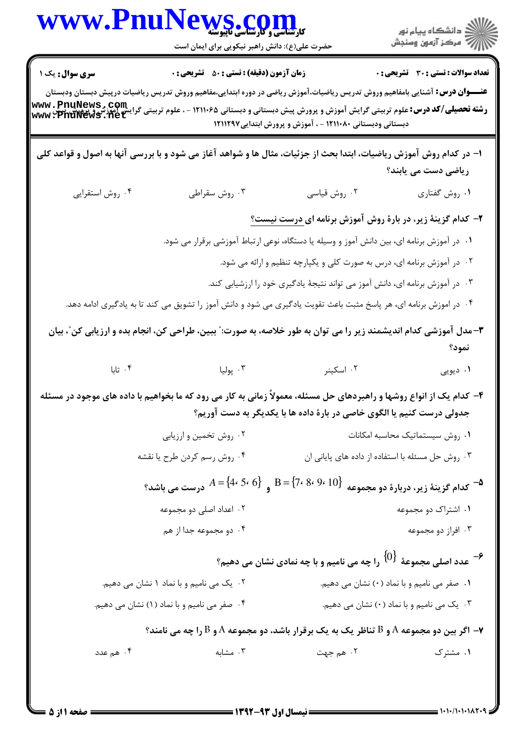| <b>تعداد سوالات : تستی : 30 ٪ تشریحی : 0</b><br><b>زمان آزمون (دقیقه) : تستی : 50 ٪ تشریحی : 0</b><br><b>سری سوال :</b> یک ۱<br><b>عنــــوان درس:</b> آشنایی بامفاهیم وروش تدریس ریاضیات،آموزش ریاضی در دوره ابتدایی،مفاهیم وروش تدریس ریاضیات درپیش دبستان ودبستان<br>رشته تحصیلی/کد درس: علوم تربیتی گرایش آموزش و پرورش پیش دبستانی و دبستانی ۱۲۱۱۰۶۵ - ، علوم تربیتی گرایش اموزش و پرورش و پر<br>www: PhuNews . net<br>دبستانی ودبستانی ۱۲۱۱۰۸۰ - ، آموزش و پرورش ابتدایی۱۲۱۱۲۹۷<br>۱– در کدام روش آموزش ریاضیات، ابتدا بحث از جزئیات، مثال ها و شواهد آغاز می شود و با بررسی آنها به اصول و قواعد کلی<br>ریاضی دست می یابند؟<br>۰۴ روش استقرایی<br>۰۳ روش سقراطی<br>۰۲ روش قیاسی<br>۰۱ روش گفتاري<br>۲- کدام گزینهٔ زیر، در بارهٔ روش آموزش برنامه ای <u>درست نیست؟</u><br>۰۱ در آموزش برنامه ای، بین دانش آموز و وسیله یا دستگاه، نوعی ارتباط آموزشی برقرار می شود.<br>۰۲ در آموزش برنامه ای، درس به صورت کلی و یکپارچه تنظیم و ارائه می شود.<br>۰۳ در آموزش برنامه ای، دانش آموز می تواند نتیجهٔ یادگیری خود را ارزشیابی کند.<br>۰۴ در اموزش برنامه ای، هر پاسخ مثبت باعث تقویت یادگیری می شود و دانش آموز را تشویق می کند تا به یادگیری ادامه دهد.<br>۳- مدل آموزشی کدام اندیشمند زیر را می توان به طور خلاصه، به صورت: ّ ببین، طراحی کن، انجام بده و ارزیابی کن ّ، بیان<br>نمود؟<br>۰۲ اسکینر<br>۰۴ تابا<br>۰۳ پوليا<br>۰۱ دیویی<br>۴- کدام یک از انواع روشها و راهبردهای حل مسئله، معمولاً زمانی به کار می رود که ما بخواهیم با داده های موجود در مسئله<br>جدولی درست کنیم یا الگوی خاصی در بارهٔ داده ها با یکدیگر به دست آوریم؟<br>٠١ روش سيستماتيك محاسبه امكانات<br>۰۲ روش تخمین و ارزیابی<br>۰۳ روش حل مسئله با استفاده از داده های پایانی ان<br>۰۴ روش رسم كردن طرح يا نقشه<br>$A = \{4 \cdot 5 \cdot 6\}$ و $A = \{4 \cdot 5 \cdot 6\}$ درست می باشد $A = \{7 \cdot 8 \cdot 9 \cdot 10\}$<br><sup>4</sup> کدام گزینهٔ زیر، دربارهٔ دو مجموعه<br>۰۲ اعداد اصلی دو مجموعه<br>۰۱ اشتراک دو مجموعه<br>۰۴ دو مجموعه جدا از هم<br>۰۳ افراز دو مجموعه<br>-<br>عدد اصلی مجموعهٔ $\{0\}$ را چه می نامیم و با چه نمادی نشان می دهیم $\cdot$<br>۰۱ صفر می نامیم و با نماد (۰) نشان می دهیم.<br>۰۲ یک می نامیم و با نماد ۱ نشان می دهیم.<br>۰۳ یک می نامیم و با نماد (۰) نشان می دهیم.<br>۰۴ صفر می نامیم و با نماد (۱) نشان می دهیم.<br>- اگر بین دو مجموعه A و B تناظر یک به یک برقرار باشد، دو مجموعه A و B را چه می نامند $\mathbf r$<br>۰۳ مشابه<br>۰۴ هم عدد<br>۲. هم جهت<br>۰۱ مشترک | WWW.PnuNews.com<br>حضرت علی(ع): دانش راهبر نیکویی برای ایمان است |  |
|--------------------------------------------------------------------------------------------------------------------------------------------------------------------------------------------------------------------------------------------------------------------------------------------------------------------------------------------------------------------------------------------------------------------------------------------------------------------------------------------------------------------------------------------------------------------------------------------------------------------------------------------------------------------------------------------------------------------------------------------------------------------------------------------------------------------------------------------------------------------------------------------------------------------------------------------------------------------------------------------------------------------------------------------------------------------------------------------------------------------------------------------------------------------------------------------------------------------------------------------------------------------------------------------------------------------------------------------------------------------------------------------------------------------------------------------------------------------------------------------------------------------------------------------------------------------------------------------------------------------------------------------------------------------------------------------------------------------------------------------------------------------------------------------------------------------------------------------------------------------------------------------------------------------------------------------------------------------------------------------------------------------------------------------------------------------------------------------------------------------------------------------------------------------------------------------------------------------------------------------------------------------------------------------------------------------------------------------------------------------------------------------------|------------------------------------------------------------------|--|
|                                                                                                                                                                                                                                                                                                                                                                                                                                                                                                                                                                                                                                                                                                                                                                                                                                                                                                                                                                                                                                                                                                                                                                                                                                                                                                                                                                                                                                                                                                                                                                                                                                                                                                                                                                                                                                                                                                                                                                                                                                                                                                                                                                                                                                                                                                                                                                                                  |                                                                  |  |
|                                                                                                                                                                                                                                                                                                                                                                                                                                                                                                                                                                                                                                                                                                                                                                                                                                                                                                                                                                                                                                                                                                                                                                                                                                                                                                                                                                                                                                                                                                                                                                                                                                                                                                                                                                                                                                                                                                                                                                                                                                                                                                                                                                                                                                                                                                                                                                                                  |                                                                  |  |
|                                                                                                                                                                                                                                                                                                                                                                                                                                                                                                                                                                                                                                                                                                                                                                                                                                                                                                                                                                                                                                                                                                                                                                                                                                                                                                                                                                                                                                                                                                                                                                                                                                                                                                                                                                                                                                                                                                                                                                                                                                                                                                                                                                                                                                                                                                                                                                                                  |                                                                  |  |
|                                                                                                                                                                                                                                                                                                                                                                                                                                                                                                                                                                                                                                                                                                                                                                                                                                                                                                                                                                                                                                                                                                                                                                                                                                                                                                                                                                                                                                                                                                                                                                                                                                                                                                                                                                                                                                                                                                                                                                                                                                                                                                                                                                                                                                                                                                                                                                                                  |                                                                  |  |
|                                                                                                                                                                                                                                                                                                                                                                                                                                                                                                                                                                                                                                                                                                                                                                                                                                                                                                                                                                                                                                                                                                                                                                                                                                                                                                                                                                                                                                                                                                                                                                                                                                                                                                                                                                                                                                                                                                                                                                                                                                                                                                                                                                                                                                                                                                                                                                                                  |                                                                  |  |
|                                                                                                                                                                                                                                                                                                                                                                                                                                                                                                                                                                                                                                                                                                                                                                                                                                                                                                                                                                                                                                                                                                                                                                                                                                                                                                                                                                                                                                                                                                                                                                                                                                                                                                                                                                                                                                                                                                                                                                                                                                                                                                                                                                                                                                                                                                                                                                                                  |                                                                  |  |
|                                                                                                                                                                                                                                                                                                                                                                                                                                                                                                                                                                                                                                                                                                                                                                                                                                                                                                                                                                                                                                                                                                                                                                                                                                                                                                                                                                                                                                                                                                                                                                                                                                                                                                                                                                                                                                                                                                                                                                                                                                                                                                                                                                                                                                                                                                                                                                                                  |                                                                  |  |
|                                                                                                                                                                                                                                                                                                                                                                                                                                                                                                                                                                                                                                                                                                                                                                                                                                                                                                                                                                                                                                                                                                                                                                                                                                                                                                                                                                                                                                                                                                                                                                                                                                                                                                                                                                                                                                                                                                                                                                                                                                                                                                                                                                                                                                                                                                                                                                                                  |                                                                  |  |
|                                                                                                                                                                                                                                                                                                                                                                                                                                                                                                                                                                                                                                                                                                                                                                                                                                                                                                                                                                                                                                                                                                                                                                                                                                                                                                                                                                                                                                                                                                                                                                                                                                                                                                                                                                                                                                                                                                                                                                                                                                                                                                                                                                                                                                                                                                                                                                                                  |                                                                  |  |
|                                                                                                                                                                                                                                                                                                                                                                                                                                                                                                                                                                                                                                                                                                                                                                                                                                                                                                                                                                                                                                                                                                                                                                                                                                                                                                                                                                                                                                                                                                                                                                                                                                                                                                                                                                                                                                                                                                                                                                                                                                                                                                                                                                                                                                                                                                                                                                                                  |                                                                  |  |
|                                                                                                                                                                                                                                                                                                                                                                                                                                                                                                                                                                                                                                                                                                                                                                                                                                                                                                                                                                                                                                                                                                                                                                                                                                                                                                                                                                                                                                                                                                                                                                                                                                                                                                                                                                                                                                                                                                                                                                                                                                                                                                                                                                                                                                                                                                                                                                                                  |                                                                  |  |
|                                                                                                                                                                                                                                                                                                                                                                                                                                                                                                                                                                                                                                                                                                                                                                                                                                                                                                                                                                                                                                                                                                                                                                                                                                                                                                                                                                                                                                                                                                                                                                                                                                                                                                                                                                                                                                                                                                                                                                                                                                                                                                                                                                                                                                                                                                                                                                                                  |                                                                  |  |
|                                                                                                                                                                                                                                                                                                                                                                                                                                                                                                                                                                                                                                                                                                                                                                                                                                                                                                                                                                                                                                                                                                                                                                                                                                                                                                                                                                                                                                                                                                                                                                                                                                                                                                                                                                                                                                                                                                                                                                                                                                                                                                                                                                                                                                                                                                                                                                                                  |                                                                  |  |
|                                                                                                                                                                                                                                                                                                                                                                                                                                                                                                                                                                                                                                                                                                                                                                                                                                                                                                                                                                                                                                                                                                                                                                                                                                                                                                                                                                                                                                                                                                                                                                                                                                                                                                                                                                                                                                                                                                                                                                                                                                                                                                                                                                                                                                                                                                                                                                                                  |                                                                  |  |
|                                                                                                                                                                                                                                                                                                                                                                                                                                                                                                                                                                                                                                                                                                                                                                                                                                                                                                                                                                                                                                                                                                                                                                                                                                                                                                                                                                                                                                                                                                                                                                                                                                                                                                                                                                                                                                                                                                                                                                                                                                                                                                                                                                                                                                                                                                                                                                                                  |                                                                  |  |
|                                                                                                                                                                                                                                                                                                                                                                                                                                                                                                                                                                                                                                                                                                                                                                                                                                                                                                                                                                                                                                                                                                                                                                                                                                                                                                                                                                                                                                                                                                                                                                                                                                                                                                                                                                                                                                                                                                                                                                                                                                                                                                                                                                                                                                                                                                                                                                                                  |                                                                  |  |
|                                                                                                                                                                                                                                                                                                                                                                                                                                                                                                                                                                                                                                                                                                                                                                                                                                                                                                                                                                                                                                                                                                                                                                                                                                                                                                                                                                                                                                                                                                                                                                                                                                                                                                                                                                                                                                                                                                                                                                                                                                                                                                                                                                                                                                                                                                                                                                                                  |                                                                  |  |
|                                                                                                                                                                                                                                                                                                                                                                                                                                                                                                                                                                                                                                                                                                                                                                                                                                                                                                                                                                                                                                                                                                                                                                                                                                                                                                                                                                                                                                                                                                                                                                                                                                                                                                                                                                                                                                                                                                                                                                                                                                                                                                                                                                                                                                                                                                                                                                                                  |                                                                  |  |
|                                                                                                                                                                                                                                                                                                                                                                                                                                                                                                                                                                                                                                                                                                                                                                                                                                                                                                                                                                                                                                                                                                                                                                                                                                                                                                                                                                                                                                                                                                                                                                                                                                                                                                                                                                                                                                                                                                                                                                                                                                                                                                                                                                                                                                                                                                                                                                                                  |                                                                  |  |
|                                                                                                                                                                                                                                                                                                                                                                                                                                                                                                                                                                                                                                                                                                                                                                                                                                                                                                                                                                                                                                                                                                                                                                                                                                                                                                                                                                                                                                                                                                                                                                                                                                                                                                                                                                                                                                                                                                                                                                                                                                                                                                                                                                                                                                                                                                                                                                                                  |                                                                  |  |
|                                                                                                                                                                                                                                                                                                                                                                                                                                                                                                                                                                                                                                                                                                                                                                                                                                                                                                                                                                                                                                                                                                                                                                                                                                                                                                                                                                                                                                                                                                                                                                                                                                                                                                                                                                                                                                                                                                                                                                                                                                                                                                                                                                                                                                                                                                                                                                                                  |                                                                  |  |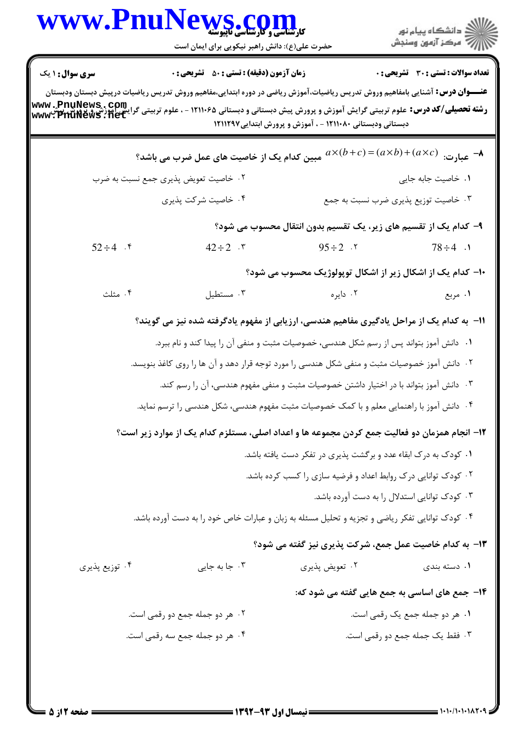|                                | WWW.PnuNews.com<br>حضرت علی(ع): دانش راهبر نیکویی برای ایمان است                                |                                                                                        |                                                                                                                                                                                                                                                                                                                                                            |
|--------------------------------|-------------------------------------------------------------------------------------------------|----------------------------------------------------------------------------------------|------------------------------------------------------------------------------------------------------------------------------------------------------------------------------------------------------------------------------------------------------------------------------------------------------------------------------------------------------------|
| <b>سری سوال : ۱ یک</b>         | <b>زمان آزمون (دقیقه) : تستی : 50 ٪ تشریحی : 0</b>                                              |                                                                                        | <b>تعداد سوالات : تستی : 30 ٪ تشریحی : 0</b>                                                                                                                                                                                                                                                                                                               |
|                                |                                                                                                 | دبستانی ودبستانی ۱۲۱۱۰۸۰ - ، آموزش و پرورش ابتدایی۱۲۱۱۲۹۷                              | <b>عنـــوان درس:</b> آشنایی بامفاهیم وروش تدریس ریاضیات،آموزش ریاضی در دوره ابتدایی،مفاهیم وروش تدریس ریاضیات درپیش دبستان ودبستان<br>رشته تحصیلی/کد درس: علوم تربیتی گرایش آموزش و پرورش پیش دبستانی و دبستانی ۱۲۱۱۰۶۵ - ، علوم تربیتی گرایش اموز<br>Www: Priunes ، net<br>دبستانی هنستانی ۱۲۱۱۰۸۰ - مستانی ۱۲۱۱۰۸۰ - آمینش میسود و ۱۳۱۰۰۰ میلیون ۱۳۱۰۰۰۰ |
|                                | مبین کدام یک از خاصیت های عمل ضرب می باشد؟                                                      |                                                                                        | $a\times(b+c) = (a\times b) + (a\times c)$ عبارت: $\rightarrow$                                                                                                                                                                                                                                                                                            |
|                                | ۰۲ خاصیت تعویض پذیری جمع نسبت به ضرب                                                            |                                                                                        | ٠١. خاصيت جابه جايى                                                                                                                                                                                                                                                                                                                                        |
|                                | ۰۴ خاصیت شرکت پذیری                                                                             |                                                                                        | ۰۳ خاصیت توزیع پذیری ضرب نسبت به جمع                                                                                                                                                                                                                                                                                                                       |
|                                |                                                                                                 |                                                                                        | ۹– کدام یک از تقسیم های زیر، یک تقسیم بدون انتقال محسوب می شود؟                                                                                                                                                                                                                                                                                            |
| $52 \div 4$ . $\ell$           | $42 \div 2$ . $\mathsf{r}$                                                                      | $95 \div 2$ .                                                                          | $78 \div 4$ .                                                                                                                                                                                                                                                                                                                                              |
|                                |                                                                                                 |                                                                                        | <b>۱۰</b> - کدام یک از اشکال زیر از اشکال توپولوژیک محسوب می شود؟                                                                                                                                                                                                                                                                                          |
| ۰۴ مثلث                        | ۰۳ مستطيل                                                                                       | ۰۲ دایره                                                                               | ۰۱ مربع                                                                                                                                                                                                                                                                                                                                                    |
|                                |                                                                                                 |                                                                                        | 11- به کدام یک از مراحل یادگیری مفاهیم هندسی، ارزیابی از مفهوم یادگرفته شده نیز می گویند؟                                                                                                                                                                                                                                                                  |
|                                | ۰۱ دانش آموز بتواند پس از رسم شکل هندسی، خصوصیات مثبت و منفی آن را پیدا کند و نام ببرد.         |                                                                                        |                                                                                                                                                                                                                                                                                                                                                            |
|                                | ۰۲ دانش آموز خصوصیات مثبت و منفی شکل هندسی را مورد توجه قرار دهد و آن ها را روی کاغذ بنویسد.    |                                                                                        |                                                                                                                                                                                                                                                                                                                                                            |
|                                |                                                                                                 | ۰۳ دانش آموز بتواند با در اختیار داشتن خصوصیات مثبت و منفی مفهوم هندسی، آن را رسم کند. |                                                                                                                                                                                                                                                                                                                                                            |
|                                | ۰۴ دانش آموز با راهنمایی معلم و با کمک خصوصیات مثبت مفهوم هندسی، شکل هندسی را ترسم نماید.       |                                                                                        |                                                                                                                                                                                                                                                                                                                                                            |
|                                |                                                                                                 |                                                                                        | ۱۲– انجام همزمان دو فعالیت جمع کردن مجموعه ها و اعداد اصلی، مستلزم کدام یک از موارد زیر است؟                                                                                                                                                                                                                                                               |
|                                |                                                                                                 | ۰۱ کودک به درک ابقاء عدد و برگشت پذیری در تفکر دست یافته باشد.                         |                                                                                                                                                                                                                                                                                                                                                            |
|                                |                                                                                                 | ۰۲ کودک توانایی درک روابط اعداد و فرضیه سازی را کسب کرده باشد.                         |                                                                                                                                                                                                                                                                                                                                                            |
|                                |                                                                                                 |                                                                                        | ۰۳ کودک توانایی استدلال را به دست آورده باشد.                                                                                                                                                                                                                                                                                                              |
|                                | ۰۴ کودک توانایی تفکر ریاضی و تجزیه و تحلیل مسئله به زبان و عبارات خاص خود را به دست آورده باشد. |                                                                                        |                                                                                                                                                                                                                                                                                                                                                            |
|                                |                                                                                                 |                                                                                        | ۱۳- به کدام خاصیت عمل جمع، شرکت پذیری نیز گفته می شود؟                                                                                                                                                                                                                                                                                                     |
| ۰۴ توزیع پذیری                 | ۰۳ جا به جایی                                                                                   | ۰۲ تعویض پذیری                                                                         | ۰۱ دسته بندی                                                                                                                                                                                                                                                                                                                                               |
|                                |                                                                                                 |                                                                                        | ۱۴- جمع های اساسی به جمع هایی گفته می شود که:                                                                                                                                                                                                                                                                                                              |
| ۰۲ هر دو جمله جمع دو رقمی است. |                                                                                                 |                                                                                        | ٠١. هر دو جمله جمع يک رقمي است.                                                                                                                                                                                                                                                                                                                            |
|                                | ۰۴ هر دو جمله جمع سه رقمی است.                                                                  |                                                                                        | ۰۳ فقط یک جمله جمع دو رقمی است.                                                                                                                                                                                                                                                                                                                            |
|                                |                                                                                                 |                                                                                        |                                                                                                                                                                                                                                                                                                                                                            |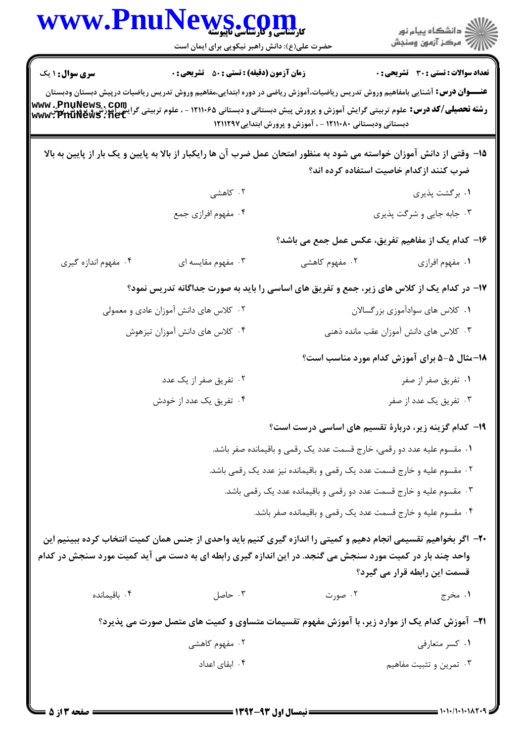|                                                                                                                                                                                                                                                                                     | WWW.PnuNews.com<br>حضرت علی(ع): دانش راهبر نیکویی برای ایمان است                                                                                                                                                             |                                                                         |                                              |  |
|-------------------------------------------------------------------------------------------------------------------------------------------------------------------------------------------------------------------------------------------------------------------------------------|------------------------------------------------------------------------------------------------------------------------------------------------------------------------------------------------------------------------------|-------------------------------------------------------------------------|----------------------------------------------|--|
| <b>سری سوال : ۱ یک</b><br><b>رشته تحصیلی/کد درس:</b> علوم تربیتی گرایش آموزش و پرورش پیش دبستانی و دبستانی ۱۲۱۱۰۶۵ - ، علوم تربیتی گرایش <mark>۳۲۱Wews</mark><br>ر <b>شته تحصیلی/کد درس:</b> تربیتی گرایش آموزش و پرورش پیش دبستانی و دبستانی ۱۲۱۱۰۶۵<br>دبستانی ودستانی در ۱۲۱۱۰۸۰ | <b>زمان آزمون (دقیقه) : تستی : 50 ٪ تشریحی : 0</b><br><b>عنـــوان درس:</b> آشنایی بامفاهیم وروش تدریس ریاضیات،آموزش ریاضی در دوره ابتدایی،مفاهیم وروش تدریس ریاضیات درپیش دبستان ودبستان                                     | دبستانی ودبستانی ۱۲۱۱۰۸۰ - ، آموزش و پرورش ابتدایی۱۲۱۱۲۹۷               | <b>تعداد سوالات : تستی : 30 ٪ تشریحی : 0</b> |  |
|                                                                                                                                                                                                                                                                                     | ۱۵– وقتی از دانش آموزان خواسته می شود به منظور امتحان عمل ضرب آن ها رایکبار از بالا به پایین و یک بار از پایین به بالا                                                                                                       |                                                                         | ضرب کنند ازکدام خاصیت استفاده کرده اند؟      |  |
|                                                                                                                                                                                                                                                                                     | ۲. کاهشی                                                                                                                                                                                                                     |                                                                         | ۰۱ برگشت پذیری                               |  |
|                                                                                                                                                                                                                                                                                     | ۰۴ مفهوم افرازي جمع                                                                                                                                                                                                          |                                                                         | ۰۳ جابه جایی و شرگت پذیری                    |  |
|                                                                                                                                                                                                                                                                                     |                                                                                                                                                                                                                              | ۱۶– کدام یک از مفاهیم تفریق، عکس عمل جمع می باشد؟                       |                                              |  |
| ۰۴ مفهوم اندازه گیری                                                                                                                                                                                                                                                                | ۰۳ مفهوم مقایسه ای                                                                                                                                                                                                           | ۰۲ مفهوم کاهشی                                                          | ٠١ مفهوم افرازي                              |  |
|                                                                                                                                                                                                                                                                                     | ۱۷– در کدام یک از کلاس های زیر، جمع و تفریق های اساسی را باید به صورت جداگانه تدریس نمود؟                                                                                                                                    |                                                                         |                                              |  |
| ۰۲ کلاس های دانش آموزان عادی و معمولی                                                                                                                                                                                                                                               |                                                                                                                                                                                                                              |                                                                         | ۰۱ کلاس های سوادآموزی بزرگسالان              |  |
|                                                                                                                                                                                                                                                                                     | ۰۴ کلاس های دانش آموزان تیزهوش                                                                                                                                                                                               |                                                                         | ۰۳ کلاس های دانش آموزان عقب مانده ذهنی       |  |
|                                                                                                                                                                                                                                                                                     |                                                                                                                                                                                                                              |                                                                         | 18-مثال ۵-۵ برای آموزش کدام مورد مناسب است؟  |  |
|                                                                                                                                                                                                                                                                                     | ۰۲ تفریق صفر از یک عدد                                                                                                                                                                                                       |                                                                         | ۰۱ تفریق صفر از صفر                          |  |
|                                                                                                                                                                                                                                                                                     | ۰۴ تفریق یک عدد از خودش                                                                                                                                                                                                      |                                                                         | ۰۳ تفریق یک عدد از صفر                       |  |
|                                                                                                                                                                                                                                                                                     |                                                                                                                                                                                                                              | ۱۹- کدام گزینه زیر، دربارهٔ تقسیم های اساسی درست است؟                   |                                              |  |
|                                                                                                                                                                                                                                                                                     |                                                                                                                                                                                                                              | ١. مقسوم عليه عدد دو رقمي، خارج قسمت عدد يک رقمي و باقيمانده صفر باشد.  |                                              |  |
|                                                                                                                                                                                                                                                                                     |                                                                                                                                                                                                                              | ۰۲ مقسوم علیه و خارج قسمت عدد یک رقمی و باقیمانده نیز عدد یک رقمی باشد. |                                              |  |
|                                                                                                                                                                                                                                                                                     |                                                                                                                                                                                                                              | ۰۳ مقسوم علیه و خارج قسمت عدد دو رقمی و باقیمانده عدد یک رقمی باشد.     |                                              |  |
|                                                                                                                                                                                                                                                                                     |                                                                                                                                                                                                                              | ۰۴ مقسوم علیه و خارج قسمت عدد یک رقمی و باقیمانده صفر باشد.             |                                              |  |
|                                                                                                                                                                                                                                                                                     | +۲- اگر بخواهیم تقسیمی انجام دهیم و کمیتی را اندازه گیری کنیم باید واحدی از جنس همان کمیت انتخاب کرده ببینیم این<br>واحد چند بار در کمیت مورد سنجش می گنجد. در این اندازه گیری رابطه ای به دست می آید کمیت مورد سنجش در کدام |                                                                         | قسمت این رابطه قرار می گیرد؟                 |  |
| ۰۴ باقیمانده                                                                                                                                                                                                                                                                        | ۰۳ حاصل                                                                                                                                                                                                                      | ۰۲ صورت                                                                 | ۱. مخرج                                      |  |
|                                                                                                                                                                                                                                                                                     | <b>۲۱</b> – آموزش کدام یک از موارد زیر، با آموزش مفهوم تقسیمات متساوی و کمیت های متصل صورت می پذیرد؟                                                                                                                         |                                                                         |                                              |  |
|                                                                                                                                                                                                                                                                                     | ۰۲ مفهوم کاهشی                                                                                                                                                                                                               |                                                                         | ۰۱ کسر متعارفی                               |  |
|                                                                                                                                                                                                                                                                                     | ۰۴ ابقای اعداد                                                                                                                                                                                                               |                                                                         | ۰۳ تمرین و تثبیت مفاهیم                      |  |
| <b>: صفحه ۱۳ از 5</b>                                                                                                                                                                                                                                                               |                                                                                                                                                                                                                              |                                                                         | = 1・1・/1・1・1ハ۲・9                             |  |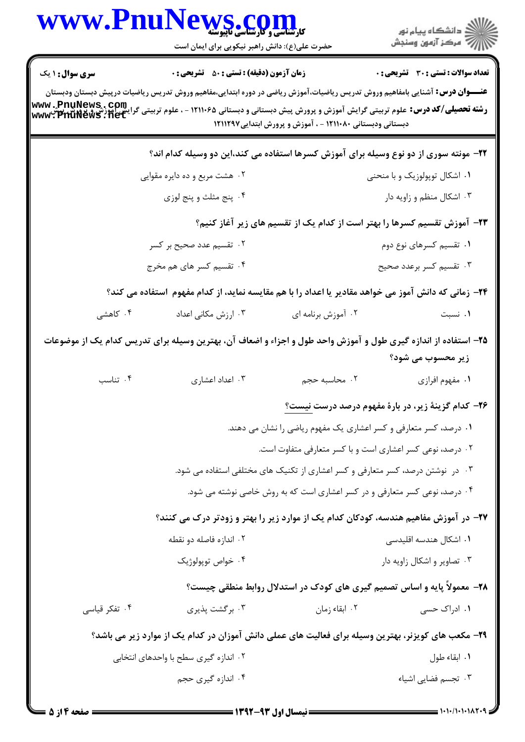|                        | WWW.PnuNews.com<br>حضرت علی(ع): دانش راهبر نیکویی برای ایمان است                                                                                                                                                                                                                                                                                                             |                                                                                | ر دانشگاه پيام نور<br>ا∛هرکز آزمون وسنجش            |
|------------------------|------------------------------------------------------------------------------------------------------------------------------------------------------------------------------------------------------------------------------------------------------------------------------------------------------------------------------------------------------------------------------|--------------------------------------------------------------------------------|-----------------------------------------------------|
| <b>سری سوال : ۱ یک</b> | <b>زمان آزمون (دقیقه) : تستی : 50 ٪ تشریحی : 0</b><br><b>عنــــوان درس:</b> آشنایی بامفاهیم وروش تدریس ریاضیات،آموزش ریاضی در دوره ابتدایی،مفاهیم وروش تدریس ریاضیات درپیش دبستان ودبستان<br><b>رشته تحصیلی/کد درس:</b> علوم تربیتی گرایش آموزش و پرورش پیش دبستانی و دبستانی ۱۲۱۱۰۶۵ - ، علوم تربیتی گرایش اموزش و پ <b>یهوی www . PnuNews . com</b><br>www . PnuNews . net | دبستانی ودبستانی ۱۲۱۱۰۸۰ - ، آموزش و پرورش ابتدایی۱۲۱۱۲۹۷                      | تعداد سوالات : تستي : 30 - تشريحي : 0               |
|                        | ۲۲– مونته سوری از دو نوع وسیله برای آموزش کسرها استفاده می کند،این دو وسیله کدام اند؟                                                                                                                                                                                                                                                                                        |                                                                                |                                                     |
|                        | ۲. هشت مربع و ده دايره مقوايي                                                                                                                                                                                                                                                                                                                                                |                                                                                | ۰۱ اشکال توپولوزیک و با منحنی                       |
|                        | ۰۴ پنج مثلث و پنج لوزي                                                                                                                                                                                                                                                                                                                                                       |                                                                                | ۰۳ اشکال منظم و زاویه دار                           |
|                        |                                                                                                                                                                                                                                                                                                                                                                              | ۲۳– آموزش تقسیم کسرها را بهتر است از کدام یک از تقسیم های زیر آغاز کنیم؟       |                                                     |
|                        | ۰۲ تقسیم عدد صحیح بر کسر                                                                                                                                                                                                                                                                                                                                                     |                                                                                | ۰۱ تقسیم کسرهای نوع دوم                             |
|                        | ۰۴ تقسیم کسر های هم مخرج                                                                                                                                                                                                                                                                                                                                                     |                                                                                | ۰۳ تقسیم کسر برعدد صحیح                             |
|                        | ۲۴– زمانی که دانش آموز می خواهد مقادیر یا اعداد را با هم مقایسه نماید، از کدام مفهوم استفاده می کند؟                                                                                                                                                                                                                                                                         |                                                                                |                                                     |
| ۰۴ کاهشی               | ۰۳ ارزش مکانی اعداد                                                                                                                                                                                                                                                                                                                                                          | ۰۲ آموزش برنامه ای                                                             | ۰۱ نسبت                                             |
|                        | ۲۵– استفاده از اندازه گیری طول و آموزش واحد طول و اجزاء و اضعاف آن، بهترین وسیله برای تدریس کدام یک از موضوعات                                                                                                                                                                                                                                                               |                                                                                | زیر محسوب می شود؟                                   |
| ۰۴ تناسب               | ۰۳ اعداد اعشاری                                                                                                                                                                                                                                                                                                                                                              | ٢. محاسبه حجم                                                                  | ۰۱ مفهوم افرازی                                     |
|                        |                                                                                                                                                                                                                                                                                                                                                                              |                                                                                | ۲۶- کدام گزینهٔ زیر، در بارهٔ مفهوم درصد درست نیست؟ |
|                        |                                                                                                                                                                                                                                                                                                                                                                              | ۰۱ درصد، کسر متعارفی و کسر اعشاری یک مفهوم ریاضی را نشان می دهند.              |                                                     |
|                        |                                                                                                                                                                                                                                                                                                                                                                              | ۰۲ درصد، نوعی کسر اعشاری است و با کسر متعارفی متفاوت است.                      |                                                     |
|                        |                                                                                                                                                                                                                                                                                                                                                                              | ۰۳ در نوشتن درصد، کسر متعارفی و کسر اعشاری از تکنیک های مختلفی استفاده می شود. |                                                     |
|                        |                                                                                                                                                                                                                                                                                                                                                                              | ۰۴ درصد، نوعی کسر متعارفی و در کسر اعشاری است که به روش خاصی نوشته می شود.     |                                                     |
|                        | ۲۷– در آموزش مفاهیم هندسه، کودکان کدام یک از موارد زیر را بهتر و زودتر درک می کنند؟                                                                                                                                                                                                                                                                                          |                                                                                |                                                     |
|                        | ۰۲ اندازه فاصله دو نقطه                                                                                                                                                                                                                                                                                                                                                      |                                                                                | ۰۱ اشکال هندسه اقلیدسی                              |
|                        | ۰۴ خواص توپولوژیک                                                                                                                                                                                                                                                                                                                                                            |                                                                                | ۰۳ تصاویر و اشکال زاویه دار                         |
|                        |                                                                                                                                                                                                                                                                                                                                                                              | ۲۸- معمولاً پایه و اساس تصمیم گیری های کودک در استدلال روابط منطقی چیست؟       |                                                     |
| ۰۴ تفکر قیاسی          | ۰۳ برگشت پذیری                                                                                                                                                                                                                                                                                                                                                               | ۰۲ ابقاء زمان                                                                  | ۱. ادراک حس <i>ی</i>                                |
|                        | ۲۹– مکعب های کویزنر، بهترین وسیله برای فعالیت های عملی دانش آموزان در کدام یک از موارد زیر می باشد؟                                                                                                                                                                                                                                                                          |                                                                                |                                                     |
|                        | ۲. اندازه گیری سطح با واحدهای انتخابی                                                                                                                                                                                                                                                                                                                                        |                                                                                | ٠١ ابقاء طول                                        |
|                        | ۰۴ اندازه گیری حجم                                                                                                                                                                                                                                                                                                                                                           |                                                                                | ۰۳ تجسم فضایی اشیاء                                 |